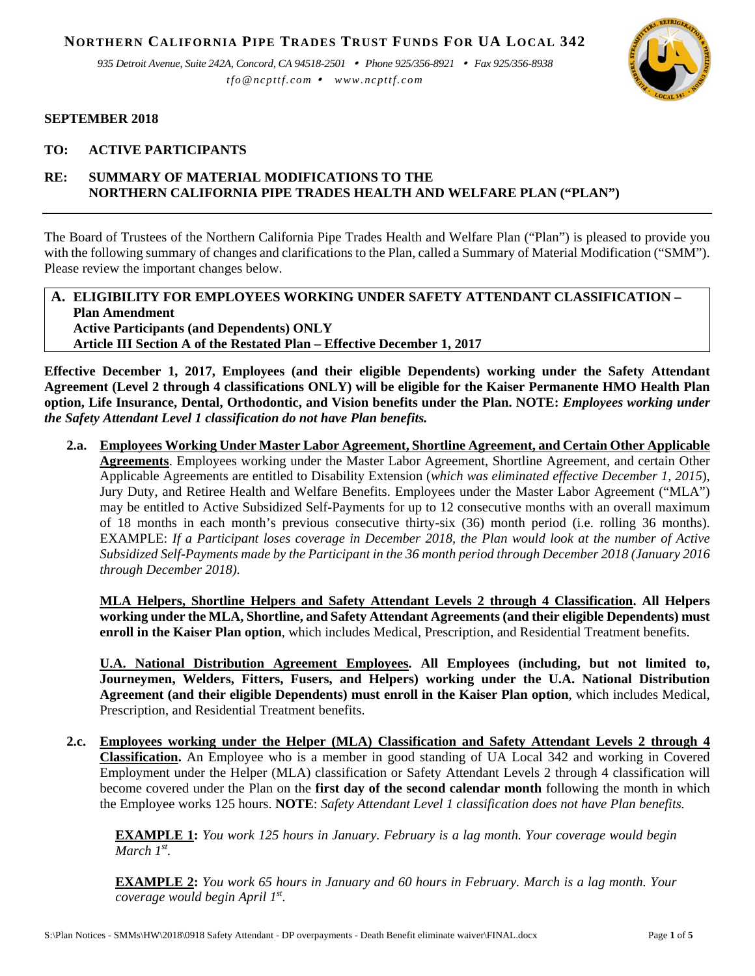**NORTHERN CALIFORNIA PIPE TRADES TRUST FUNDS FOR UA LOCAL 342**

*935 Detroit Avenue, Suite 242A, Concord, CA 94518-2501 Phone 925/356-8921 Fax 925/356-8938 tfo@ncpttf.com www.ncpttf.com*



#### **SEPTEMBER 2018**

### **TO: ACTIVE PARTICIPANTS**

# **RE: SUMMARY OF MATERIAL MODIFICATIONS TO THE NORTHERN CALIFORNIA PIPE TRADES HEALTH AND WELFARE PLAN ("PLAN")**

The Board of Trustees of the Northern California Pipe Trades Health and Welfare Plan ("Plan") is pleased to provide you with the following summary of changes and clarifications to the Plan, called a Summary of Material Modification ("SMM"). Please review the important changes below.

#### **A. ELIGIBILITY FOR EMPLOYEES WORKING UNDER SAFETY ATTENDANT CLASSIFICATION – Plan Amendment Active Participants (and Dependents) ONLY Article III Section A of the Restated Plan – Effective December 1, 2017**

**Effective December 1, 2017, Employees (and their eligible Dependents) working under the Safety Attendant Agreement (Level 2 through 4 classifications ONLY) will be eligible for the Kaiser Permanente HMO Health Plan option, Life Insurance, Dental, Orthodontic, and Vision benefits under the Plan. NOTE:** *Employees working under the Safety Attendant Level 1 classification do not have Plan benefits.* 

**2.a. Employees Working Under Master Labor Agreement, Shortline Agreement, and Certain Other Applicable Agreements**. Employees working under the Master Labor Agreement, Shortline Agreement, and certain Other Applicable Agreements are entitled to Disability Extension (*which was eliminated effective December 1, 2015*), Jury Duty, and Retiree Health and Welfare Benefits. Employees under the Master Labor Agreement ("MLA") may be entitled to Active Subsidized Self-Payments for up to 12 consecutive months with an overall maximum of 18 months in each month's previous consecutive thirty-six (36) month period (i.e. rolling 36 months). EXAMPLE: *If a Participant loses coverage in December 2018, the Plan would look at the number of Active Subsidized Self-Payments made by the Participant in the 36 month period through December 2018 (January 2016 through December 2018).*

**MLA Helpers, Shortline Helpers and Safety Attendant Levels 2 through 4 Classification. All Helpers working under the MLA, Shortline, and Safety Attendant Agreements (and their eligible Dependents) must enroll in the Kaiser Plan option**, which includes Medical, Prescription, and Residential Treatment benefits.

**U.A. National Distribution Agreement Employees. All Employees (including, but not limited to, Journeymen, Welders, Fitters, Fusers, and Helpers) working under the U.A. National Distribution Agreement (and their eligible Dependents) must enroll in the Kaiser Plan option**, which includes Medical, Prescription, and Residential Treatment benefits.

**2.c. Employees working under the Helper (MLA) Classification and Safety Attendant Levels 2 through 4 Classification.** An Employee who is a member in good standing of UA Local 342 and working in Covered Employment under the Helper (MLA) classification or Safety Attendant Levels 2 through 4 classification will become covered under the Plan on the **first day of the second calendar month** following the month in which the Employee works 125 hours. **NOTE**: *Safety Attendant Level 1 classification does not have Plan benefits.*

**EXAMPLE 1:** *You work 125 hours in January. February is a lag month. Your coverage would begin March 1st.* 

**EXAMPLE 2:** *You work 65 hours in January and 60 hours in February. March is a lag month. Your coverage would begin April 1st.*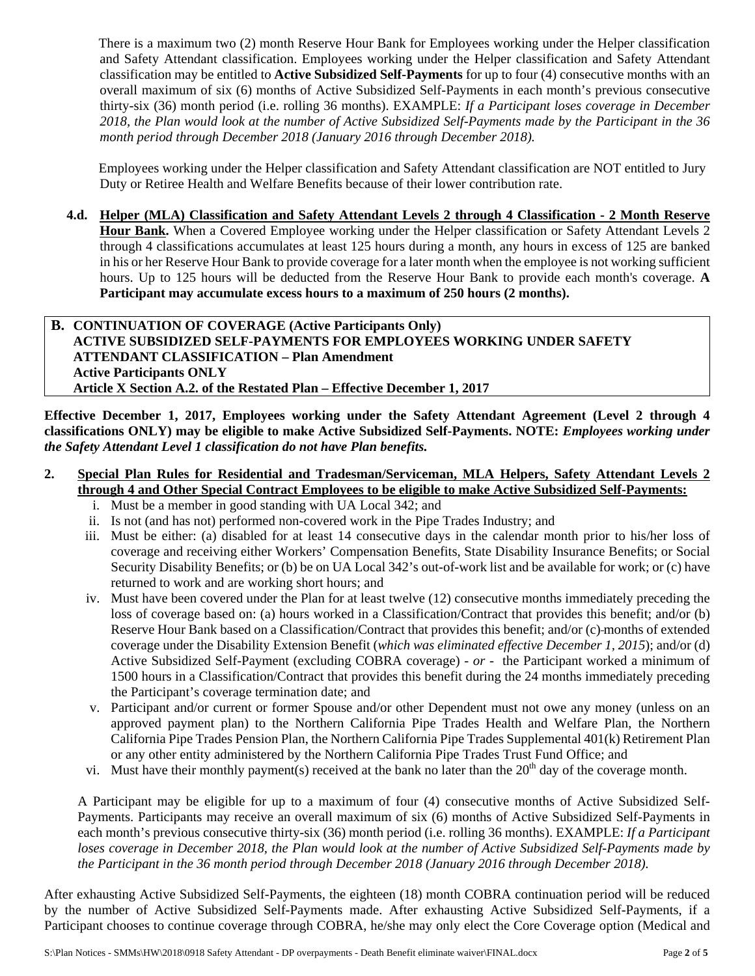There is a maximum two (2) month Reserve Hour Bank for Employees working under the Helper classification and Safety Attendant classification. Employees working under the Helper classification and Safety Attendant classification may be entitled to **Active Subsidized Self-Payments** for up to four (4) consecutive months with an overall maximum of six (6) months of Active Subsidized Self-Payments in each month's previous consecutive thirty-six (36) month period (i.e. rolling 36 months). EXAMPLE: *If a Participant loses coverage in December 2018, the Plan would look at the number of Active Subsidized Self-Payments made by the Participant in the 36 month period through December 2018 (January 2016 through December 2018).*

Employees working under the Helper classification and Safety Attendant classification are NOT entitled to Jury Duty or Retiree Health and Welfare Benefits because of their lower contribution rate.

**4.d. Helper (MLA) Classification and Safety Attendant Levels 2 through 4 Classification - 2 Month Reserve Hour Bank.** When a Covered Employee working under the Helper classification or Safety Attendant Levels 2 through 4 classifications accumulates at least 125 hours during a month, any hours in excess of 125 are banked in his or her Reserve Hour Bank to provide coverage for a later month when the employee is not working sufficient hours. Up to 125 hours will be deducted from the Reserve Hour Bank to provide each month's coverage. **A Participant may accumulate excess hours to a maximum of 250 hours (2 months).** 

# **B. CONTINUATION OF COVERAGE (Active Participants Only) ACTIVE SUBSIDIZED SELF-PAYMENTS FOR EMPLOYEES WORKING UNDER SAFETY ATTENDANT CLASSIFICATION – Plan Amendment Active Participants ONLY Article X Section A.2. of the Restated Plan – Effective December 1, 2017**

**Effective December 1, 2017, Employees working under the Safety Attendant Agreement (Level 2 through 4 classifications ONLY) may be eligible to make Active Subsidized Self-Payments. NOTE:** *Employees working under the Safety Attendant Level 1 classification do not have Plan benefits.* 

# **2. Special Plan Rules for Residential and Tradesman/Serviceman, MLA Helpers, Safety Attendant Levels 2 through 4 and Other Special Contract Employees to be eligible to make Active Subsidized Self-Payments:**

- i. Must be a member in good standing with UA Local 342; and
- ii. Is not (and has not) performed non-covered work in the Pipe Trades Industry; and
- iii. Must be either: (a) disabled for at least 14 consecutive days in the calendar month prior to his/her loss of coverage and receiving either Workers' Compensation Benefits, State Disability Insurance Benefits; or Social Security Disability Benefits; or (b) be on UA Local 342's out-of-work list and be available for work; or (c) have returned to work and are working short hours; and
- iv. Must have been covered under the Plan for at least twelve (12) consecutive months immediately preceding the loss of coverage based on: (a) hours worked in a Classification/Contract that provides this benefit; and/or (b) Reserve Hour Bank based on a Classification/Contract that provides this benefit; and/or (c) months of extended coverage under the Disability Extension Benefit (*which was eliminated effective December 1, 2015*); and/or (d) Active Subsidized Self-Payment (excluding COBRA coverage) - *or* - the Participant worked a minimum of 1500 hours in a Classification/Contract that provides this benefit during the 24 months immediately preceding the Participant's coverage termination date; and
- v. Participant and/or current or former Spouse and/or other Dependent must not owe any money (unless on an approved payment plan) to the Northern California Pipe Trades Health and Welfare Plan, the Northern California Pipe Trades Pension Plan, the Northern California Pipe Trades Supplemental 401(k) Retirement Plan or any other entity administered by the Northern California Pipe Trades Trust Fund Office; and
- vi. Must have their monthly payment(s) received at the bank no later than the  $20<sup>th</sup>$  day of the coverage month.

A Participant may be eligible for up to a maximum of four (4) consecutive months of Active Subsidized Self-Payments. Participants may receive an overall maximum of six (6) months of Active Subsidized Self-Payments in each month's previous consecutive thirty-six (36) month period (i.e. rolling 36 months). EXAMPLE: *If a Participant loses coverage in December 2018, the Plan would look at the number of Active Subsidized Self-Payments made by the Participant in the 36 month period through December 2018 (January 2016 through December 2018).*

After exhausting Active Subsidized Self-Payments, the eighteen (18) month COBRA continuation period will be reduced by the number of Active Subsidized Self-Payments made. After exhausting Active Subsidized Self-Payments, if a Participant chooses to continue coverage through COBRA, he/she may only elect the Core Coverage option (Medical and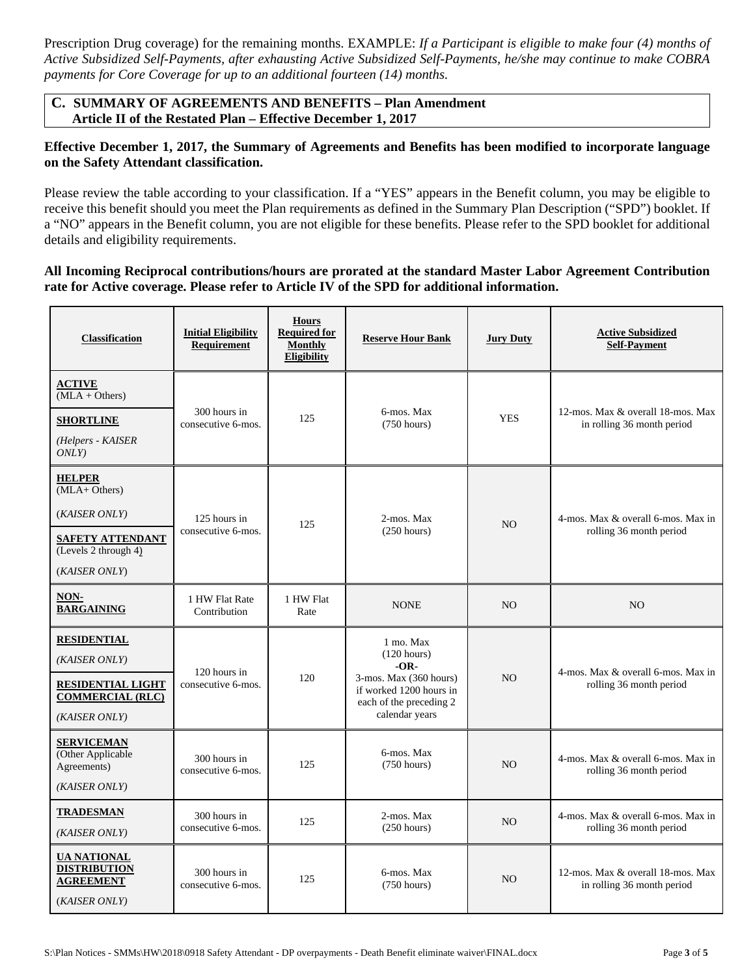Prescription Drug coverage) for the remaining months. EXAMPLE: *If a Participant is eligible to make four (4) months of Active Subsidized Self-Payments, after exhausting Active Subsidized Self-Payments, he/she may continue to make COBRA payments for Core Coverage for up to an additional fourteen (14) months.*

## **C. SUMMARY OF AGREEMENTS AND BENEFITS – Plan Amendment Article II of the Restated Plan – Effective December 1, 2017**

## **Effective December 1, 2017, the Summary of Agreements and Benefits has been modified to incorporate language on the Safety Attendant classification.**

Please review the table according to your classification. If a "YES" appears in the Benefit column, you may be eligible to receive this benefit should you meet the Plan requirements as defined in the Summary Plan Description ("SPD") booklet. If a "NO" appears in the Benefit column, you are not eligible for these benefits. Please refer to the SPD booklet for additional details and eligibility requirements.

## **All Incoming Reciprocal contributions/hours are prorated at the standard Master Labor Agreement Contribution rate for Active coverage. Please refer to Article IV of the SPD for additional information.**

| <b>Classification</b>                                                                                               | <b>Initial Eligibility</b><br><b>Requirement</b> | <b>Hours</b><br><b>Required for</b><br><b>Monthly</b><br>Eligibility | <b>Reserve Hour Bank</b>                                                                                                                       | <b>Jury Duty</b> | <b>Active Subsidized</b><br><b>Self-Payment</b>                 |
|---------------------------------------------------------------------------------------------------------------------|--------------------------------------------------|----------------------------------------------------------------------|------------------------------------------------------------------------------------------------------------------------------------------------|------------------|-----------------------------------------------------------------|
| <b>ACTIVE</b><br>$(MLA + Others)$<br><b>SHORTLINE</b><br>(Helpers - KAISER<br>ONLY                                  | 300 hours in<br>consecutive 6-mos.               | 125                                                                  | 6-mos. Max<br>$(750 \text{ hours})$                                                                                                            | <b>YES</b>       | 12-mos. Max & overall 18-mos. Max<br>in rolling 36 month period |
| <b>HELPER</b><br>(MLA+ Others)<br>(KAISER ONLY)<br><b>SAFETY ATTENDANT</b><br>(Levels 2 through 4)<br>(KAISER ONLY) | 125 hours in<br>consecutive 6-mos.               | 125                                                                  | 2-mos. Max<br>$(250 \text{ hours})$                                                                                                            | N <sub>O</sub>   | 4-mos. Max & overall 6-mos. Max in<br>rolling 36 month period   |
| NON-<br><b>BARGAINING</b>                                                                                           | 1 HW Flat Rate<br>Contribution                   | 1 HW Flat<br>Rate                                                    | <b>NONE</b>                                                                                                                                    | N <sub>O</sub>   | N <sub>O</sub>                                                  |
| <b>RESIDENTIAL</b><br>(KAISER ONLY)<br><b>RESIDENTIAL LIGHT</b><br><b>COMMERCIAL (RLC)</b><br>(KAISER ONLY)         | 120 hours in<br>consecutive 6-mos.               | 120                                                                  | 1 mo. Max<br>$(120 \text{ hours})$<br>$-OR-$<br>3-mos. Max (360 hours)<br>if worked 1200 hours in<br>each of the preceding 2<br>calendar years | N <sub>O</sub>   | 4-mos. Max & overall 6-mos. Max in<br>rolling 36 month period   |
| <b>SERVICEMAN</b><br>(Other Applicable<br>Agreements)<br>(KAISER ONLY)                                              | 300 hours in<br>consecutive 6-mos.               | 125                                                                  | 6-mos. Max<br>$(750 \text{ hours})$                                                                                                            | N <sub>O</sub>   | 4-mos. Max & overall 6-mos. Max in<br>rolling 36 month period   |
| <b>TRADESMAN</b><br>(KAISER ONLY)                                                                                   | 300 hours in<br>consecutive 6-mos.               | 125                                                                  | 2-mos. Max<br>$(250 \text{ hours})$                                                                                                            | N <sub>O</sub>   | 4-mos. Max & overall 6-mos. Max in<br>rolling 36 month period   |
| <b>UA NATIONAL</b><br><b>DISTRIBUTION</b><br><b>AGREEMENT</b><br>(KAISER ONLY)                                      | 300 hours in<br>consecutive 6-mos.               | 125                                                                  | 6-mos. Max<br>(750 hours)                                                                                                                      | N <sub>O</sub>   | 12-mos. Max & overall 18-mos. Max<br>in rolling 36 month period |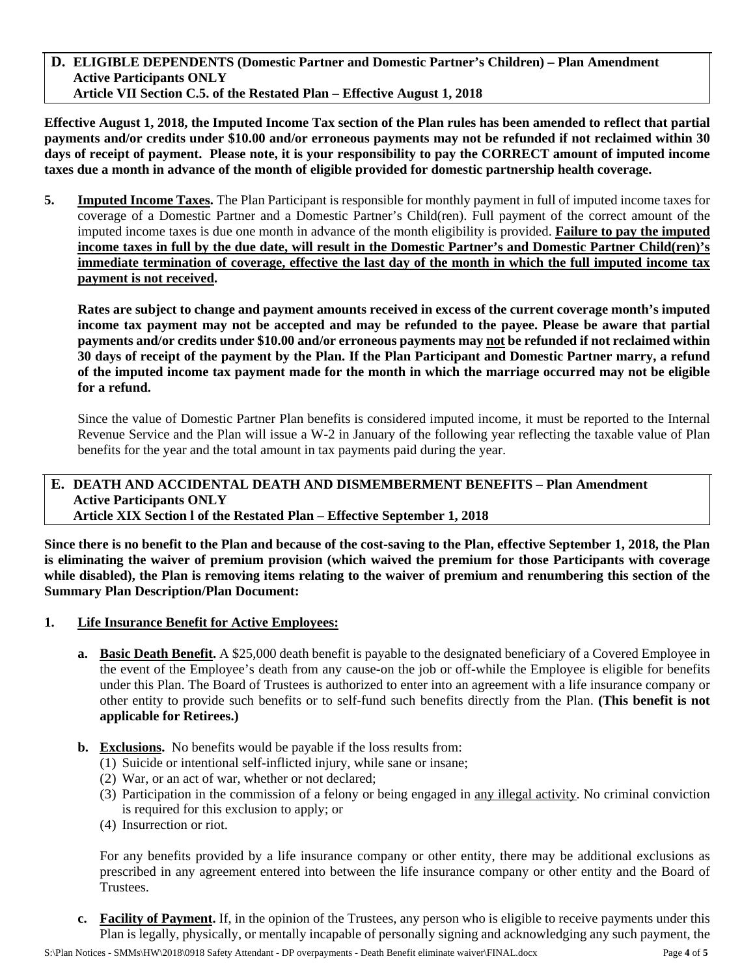**D. ELIGIBLE DEPENDENTS (Domestic Partner and Domestic Partner's Children) – Plan Amendment Active Participants ONLY Article VII Section C.5. of the Restated Plan – Effective August 1, 2018** 

**Effective August 1, 2018, the Imputed Income Tax section of the Plan rules has been amended to reflect that partial payments and/or credits under \$10.00 and/or erroneous payments may not be refunded if not reclaimed within 30 days of receipt of payment. Please note, it is your responsibility to pay the CORRECT amount of imputed income taxes due a month in advance of the month of eligible provided for domestic partnership health coverage.** 

**5. Imputed Income Taxes.** The Plan Participant is responsible for monthly payment in full of imputed income taxes for coverage of a Domestic Partner and a Domestic Partner's Child(ren). Full payment of the correct amount of the imputed income taxes is due one month in advance of the month eligibility is provided. **Failure to pay the imputed income taxes in full by the due date, will result in the Domestic Partner's and Domestic Partner Child(ren)'s immediate termination of coverage, effective the last day of the month in which the full imputed income tax payment is not received.** 

**Rates are subject to change and payment amounts received in excess of the current coverage month's imputed income tax payment may not be accepted and may be refunded to the payee. Please be aware that partial payments and/or credits under \$10.00 and/or erroneous payments may not be refunded if not reclaimed within 30 days of receipt of the payment by the Plan. If the Plan Participant and Domestic Partner marry, a refund of the imputed income tax payment made for the month in which the marriage occurred may not be eligible for a refund.**

Since the value of Domestic Partner Plan benefits is considered imputed income, it must be reported to the Internal Revenue Service and the Plan will issue a W-2 in January of the following year reflecting the taxable value of Plan benefits for the year and the total amount in tax payments paid during the year.

#### **E. DEATH AND ACCIDENTAL DEATH AND DISMEMBERMENT BENEFITS – Plan Amendment Active Participants ONLY Article XIX Section l of the Restated Plan – Effective September 1, 2018**

**Since there is no benefit to the Plan and because of the cost-saving to the Plan, effective September 1, 2018, the Plan is eliminating the waiver of premium provision (which waived the premium for those Participants with coverage while disabled), the Plan is removing items relating to the waiver of premium and renumbering this section of the Summary Plan Description/Plan Document:** 

- **1. Life Insurance Benefit for Active Employees:** 
	- **a. Basic Death Benefit.** A \$25,000 death benefit is payable to the designated beneficiary of a Covered Employee in the event of the Employee's death from any cause-on the job or off-while the Employee is eligible for benefits under this Plan. The Board of Trustees is authorized to enter into an agreement with a life insurance company or other entity to provide such benefits or to self-fund such benefits directly from the Plan. **(This benefit is not applicable for Retirees.)**
	- **b. Exclusions.** No benefits would be payable if the loss results from:
		- (1) Suicide or intentional self-inflicted injury, while sane or insane;
		- (2) War, or an act of war, whether or not declared;
		- (3) Participation in the commission of a felony or being engaged in any illegal activity. No criminal conviction is required for this exclusion to apply; or
		- (4) Insurrection or riot.

For any benefits provided by a life insurance company or other entity, there may be additional exclusions as prescribed in any agreement entered into between the life insurance company or other entity and the Board of Trustees.

**c. Facility of Payment.** If, in the opinion of the Trustees, any person who is eligible to receive payments under this Plan is legally, physically, or mentally incapable of personally signing and acknowledging any such payment, the